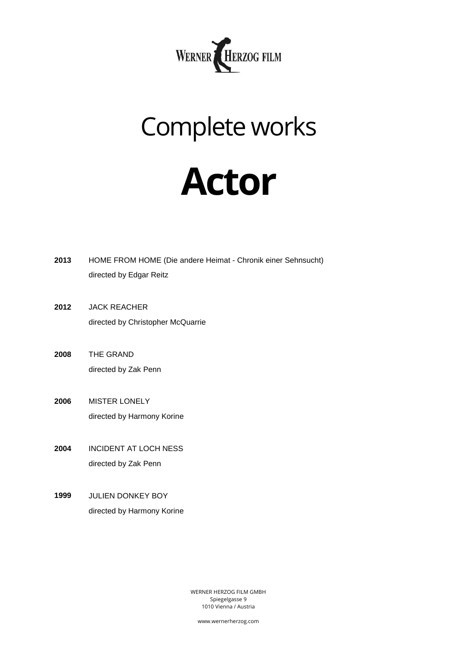

## Complete works

## **Actor**

| 2013 | HOME FROM HOME (Die andere Heimat - Chronik einer Sehnsucht) |
|------|--------------------------------------------------------------|
|      | directed by Edgar Reitz                                      |

- **2012** JACK REACHER directed by Christopher McQuarrie
- **2008** THE GRAND directed by Zak Penn
- **2006** MISTER LONELY directed by Harmony Korine
- **2004** INCIDENT AT LOCH NESS directed by Zak Penn
- **1999** JULIEN DONKEY BOY directed by Harmony Korine

WERNER HERZOG FILM GMBH Spiegelgasse 9 1010 Vienna / Austria

www.wernerherzog.com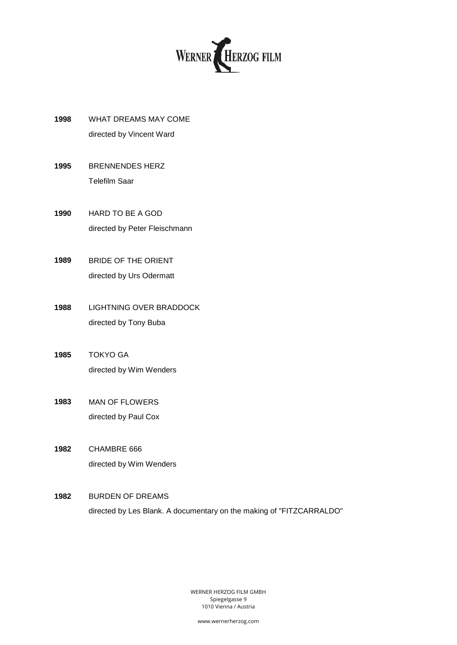

- **1998** WHAT DREAMS MAY COME directed by Vincent Ward
- **1995** BRENNENDES HERZ Telefilm Saar
- **1990** HARD TO BE A GOD directed by Peter Fleischmann
- **1989** BRIDE OF THE ORIENT directed by Urs Odermatt
- **1988** LIGHTNING OVER BRADDOCK directed by Tony Buba
- **1985** TOKYO GA directed by Wim Wenders
- **1983** MAN OF FLOWERS directed by Paul Cox
- **1982** CHAMBRE 666 directed by Wim Wenders

## **1982** BURDEN OF DREAMS directed by Les Blank. A documentary on the making of "FITZCARRALDO"

WERNER HERZOG FILM GMBH Spiegelgasse 9 1010 Vienna / Austria

www.wernerherzog.com